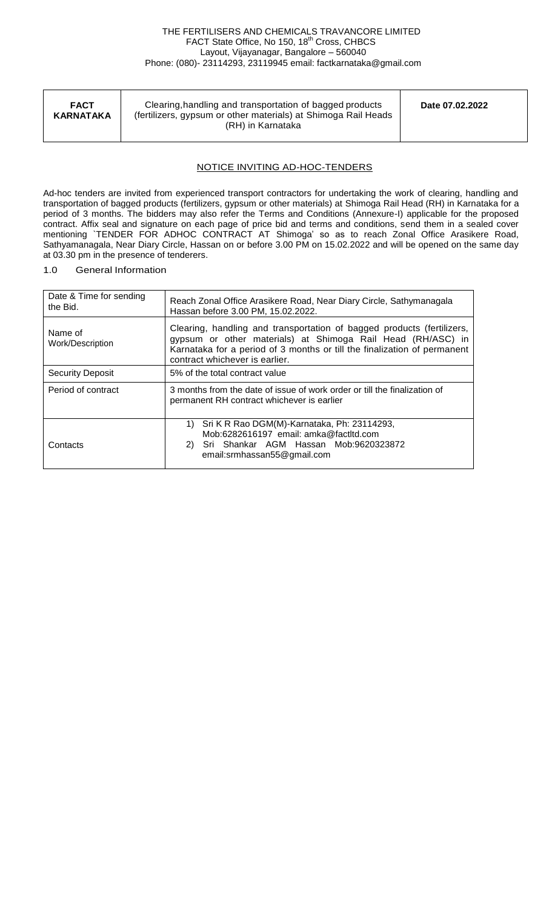| <b>FACT</b><br><b>KARNATAKA</b> | Clearing, handling and transportation of bagged products<br>(fertilizers, gypsum or other materials) at Shimoga Rail Heads<br>(RH) in Karnataka | Date 07.02.2022 |
|---------------------------------|-------------------------------------------------------------------------------------------------------------------------------------------------|-----------------|
|                                 |                                                                                                                                                 |                 |

# NOTICE INVITING AD-HOC-TENDERS

Ad-hoc tenders are invited from experienced transport contractors for undertaking the work of clearing, handling and transportation of bagged products (fertilizers, gypsum or other materials) at Shimoga Rail Head (RH) in Karnataka for a period of 3 months. The bidders may also refer the Terms and Conditions (Annexure-I) applicable for the proposed contract. Affix seal and signature on each page of price bid and terms and conditions, send them in a sealed cover mentioning `TENDER FOR ADHOC CONTRACT AT Shimoga' so as to reach Zonal Office Arasikere Road, Sathyamanagala, Near Diary Circle, Hassan on or before 3.00 PM on 15.02.2022 and will be opened on the same day at 03.30 pm in the presence of tenderers.

# 1.0 General Information

| Date & Time for sending<br>the Bid. | Reach Zonal Office Arasikere Road, Near Diary Circle, Sathymanagala<br>Hassan before 3.00 PM, 15.02.2022.                                                                                                                                           |  |  |  |  |  |
|-------------------------------------|-----------------------------------------------------------------------------------------------------------------------------------------------------------------------------------------------------------------------------------------------------|--|--|--|--|--|
| Name of<br>Work/Description         | Clearing, handling and transportation of bagged products (fertilizers,<br>gypsum or other materials) at Shimoga Rail Head (RH/ASC) in<br>Karnataka for a period of 3 months or till the finalization of permanent<br>contract whichever is earlier. |  |  |  |  |  |
| Security Deposit                    | 5% of the total contract value                                                                                                                                                                                                                      |  |  |  |  |  |
| Period of contract                  | 3 months from the date of issue of work order or till the finalization of<br>permanent RH contract whichever is earlier                                                                                                                             |  |  |  |  |  |
| Contacts                            | 1) Sri K R Rao DGM(M)-Karnataka, Ph: 23114293,<br>Mob:6282616197 email: amka@factltd.com<br>2) Sri Shankar AGM Hassan Mob:9620323872<br>email:srmhassan55@gmail.com                                                                                 |  |  |  |  |  |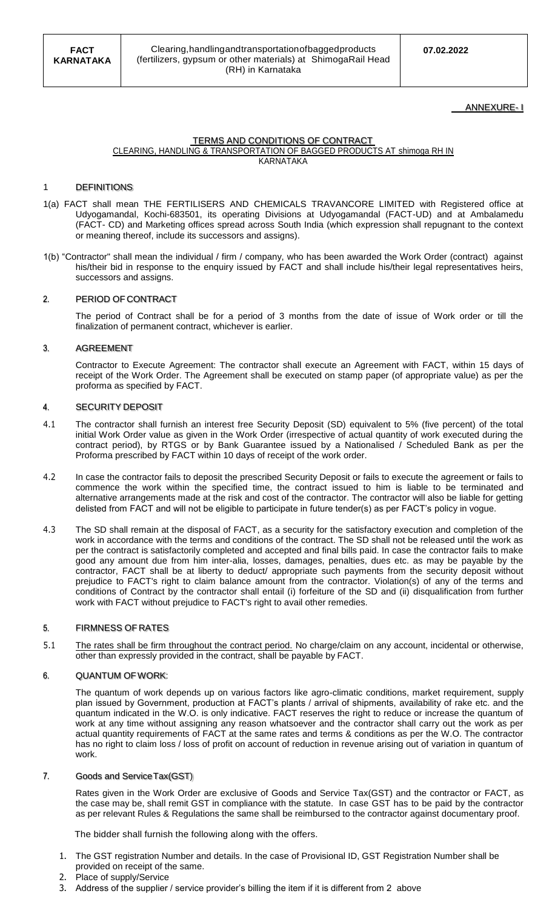# ANNEXURE- I

### TERMS AND CONDITIONS OF CONTRACT CLEARING, HANDLING & TRANSPORTATION OF BAGGED PRODUCTS AT shimoga RH IN KARNATAKA

### **DEFINITIONS**

- 1(a) FACT shall mean THE FERTILISERS AND CHEMICALS TRAVANCORE LIMITED with Registered office at Udyogamandal, Kochi-683501, its operating Divisions at Udyogamandal (FACT-UD) and at Ambalamedu (FACT- CD) and Marketing offices spread across South India (which expression shall repugnant to the context or meaning thereof, include its successors and assigns).
- 1(b) "Contractor" shall mean the individual / firm / company, who has been awarded the Work Order (contract) against his/their bid in response to the enquiry issued by FACT and shall include his/their legal representatives heirs, successors and assigns.

#### PERIOD OF CONTRACT  $\overline{2}$

The period of Contract shall be for a period of 3 months from the date of issue of Work order or till the finalization of permanent contract, whichever is earlier.

#### AGREEMENT 3.

Contractor to Execute Agreement: The contractor shall execute an Agreement with FACT, within 15 days of receipt of the Work Order. The Agreement shall be executed on stamp paper (of appropriate value) as per the proforma as specified by FACT.

#### $\overline{4}$ SECURITY DEPOSIT

- 4.1 The contractor shall furnish an interest free Security Deposit (SD) equivalent to 5% (five percent) of the total initial Work Order value as given in the Work Order (irrespective of actual quantity of work executed during the contract period), by RTGS or by Bank Guarantee issued by a Nationalised / Scheduled Bank as per the Proforma prescribed by FACT within 10 days of receipt of the work order.
- 4.2 In case the contractor fails to deposit the prescribed Security Deposit or fails to execute the agreement or fails to commence the work within the specified time, the contract issued to him is liable to be terminated and alternative arrangements made at the risk and cost of the contractor. The contractor will also be liable for getting delisted from FACT and will not be eligible to participate in future tender(s) as per FACT's policy in vogue.
- 4.3 The SD shall remain at the disposal of FACT, as a security for the satisfactory execution and completion of the work in accordance with the terms and conditions of the contract. The SD shall not be released until the work as per the contract is satisfactorily completed and accepted and final bills paid. In case the contractor fails to make good any amount due from him inter-alia, losses, damages, penalties, dues etc. as may be payable by the contractor, FACT shall be at liberty to deduct/ appropriate such payments from the security deposit without prejudice to FACT's right to claim balance amount from the contractor. Violation(s) of any of the terms and conditions of Contract by the contractor shall entail (i) forfeiture of the SD and (ii) disqualification from further work with FACT without prejudice to FACT's right to avail other remedies.

#### 5. FIRMNESS OF RATES

5.1 The rates shall be firm throughout the contract period. No charge/claim on any account, incidental or otherwise, other than expressly provided in the contract, shall be payable by FACT.

#### 6. QUANTUM OFWORK:

The quantum of work depends up on various factors like agro-climatic conditions, market requirement, supply plan issued by Government, production at FACT's plants / arrival of shipments, availability of rake etc. and the quantum indicated in the W.O. is only indicative. FACT reserves the right to reduce or increase the quantum of work at any time without assigning any reason whatsoever and the contractor shall carry out the work as per actual quantity requirements of FACT at the same rates and terms & conditions as per the W.O. The contractor has no right to claim loss / loss of profit on account of reduction in revenue arising out of variation in quantum of work.

#### $\overline{I}$ Goods and ServiceTax(GST)

Rates given in the Work Order are exclusive of Goods and Service Tax(GST) and the contractor or FACT, as the case may be, shall remit GST in compliance with the statute. In case GST has to be paid by the contractor as per relevant Rules & Regulations the same shall be reimbursed to the contractor against documentary proof.

The bidder shall furnish the following along with the offers.

- 1. The GST registration Number and details. In the case of Provisional ID, GST Registration Number shall be provided on receipt of the same.
- 2. Place of supply/Service
- 3. Address of the supplier / service provider's billing the item if it is different from 2 above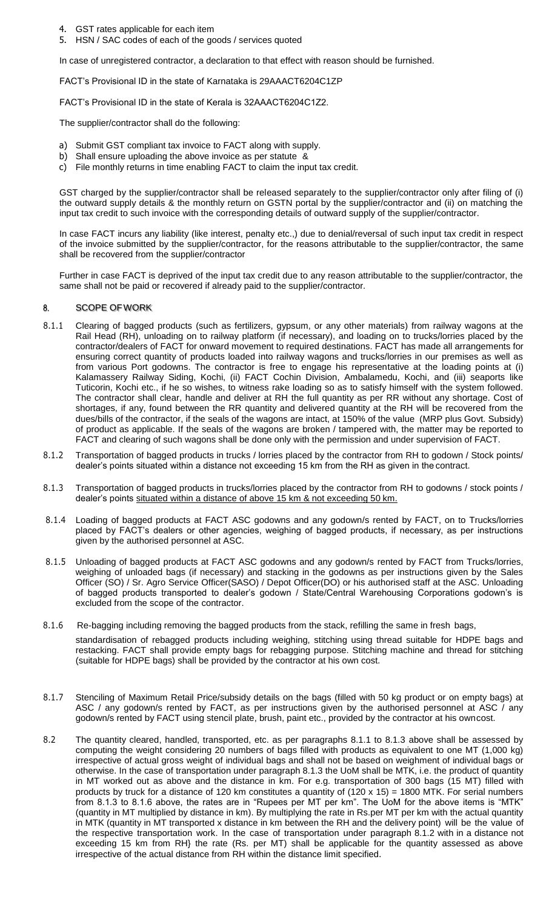- 4. GST rates applicable for each item
- 5. HSN / SAC codes of each of the goods / services quoted

In case of unregistered contractor, a declaration to that effect with reason should be furnished.

FACT's Provisional ID in the state of Karnataka is 29AAACT6204C1ZP

FACT's Provisional ID in the state of Kerala is 32AAACT6204C1Z2.

The supplier/contractor shall do the following:

- a) Submit GST compliant tax invoice to FACT along with supply.
- b) Shall ensure uploading the above invoice as per statute &
- c) File monthly returns in time enabling FACT to claim the input tax credit.

GST charged by the supplier/contractor shall be released separately to the supplier/contractor only after filing of (i) the outward supply details & the monthly return on GSTN portal by the supplier/contractor and (ii) on matching the input tax credit to such invoice with the corresponding details of outward supply of the supplier/contractor.

In case FACT incurs any liability (like interest, penalty etc.,) due to denial/reversal of such input tax credit in respect of the invoice submitted by the supplier/contractor, for the reasons attributable to the supplier/contractor, the same shall be recovered from the supplier/contractor

Further in case FACT is deprived of the input tax credit due to any reason attributable to the supplier/contractor, the same shall not be paid or recovered if already paid to the supplier/contractor.

#### 8. SCOPE OFWORK

- 8.1.1 Clearing of bagged products (such as fertilizers, gypsum, or any other materials) from railway wagons at the Rail Head (RH), unloading on to railway platform (if necessary), and loading on to trucks/lorries placed by the contractor/dealers of FACT for onward movement to required destinations. FACT has made all arrangements for ensuring correct quantity of products loaded into railway wagons and trucks/lorries in our premises as well as from various Port godowns. The contractor is free to engage his representative at the loading points at (i) Kalamassery Railway Siding, Kochi, (ii) FACT Cochin Division, Ambalamedu, Kochi, and (iii) seaports like Tuticorin, Kochi etc., if he so wishes, to witness rake loading so as to satisfy himself with the system followed. The contractor shall clear, handle and deliver at RH the full quantity as per RR without any shortage. Cost of shortages, if any, found between the RR quantity and delivered quantity at the RH will be recovered from the dues/bills of the contractor, if the seals of the wagons are intact, at 150% of the value (MRP plus Govt. Subsidy) of product as applicable. If the seals of the wagons are broken / tampered with, the matter may be reported to FACT and clearing of such wagons shall be done only with the permission and under supervision of FACT.
- 8.1.2 Transportation of bagged products in trucks / lorries placed by the contractor from RH to godown / Stock points/ dealer's points situated within a distance not exceeding 15 km from the RH as given in the contract.
- 8.1.3 Transportation of bagged products in trucks/lorries placed by the contractor from RH to godowns / stock points / dealer's points situated within a distance of above 15 km & not exceeding 50 km.
- 8.1.4 Loading of bagged products at FACT ASC godowns and any godown/s rented by FACT, on to Trucks/lorries placed by FACT's dealers or other agencies, weighing of bagged products, if necessary, as per instructions given by the authorised personnel at ASC.
- 8.1.5 Unloading of bagged products at FACT ASC godowns and any godown/s rented by FACT from Trucks/lorries, weighing of unloaded bags (if necessary) and stacking in the godowns as per instructions given by the Sales Officer (SO) / Sr. Agro Service Officer(SASO) / Depot Officer(DO) or his authorised staff at the ASC. Unloading of bagged products transported to dealer's godown / State/Central Warehousing Corporations godown's is excluded from the scope of the contractor.
- 8.1.6 Re-bagging including removing the bagged products from the stack, refilling the same in fresh bags,

standardisation of rebagged products including weighing, stitching using thread suitable for HDPE bags and restacking. FACT shall provide empty bags for rebagging purpose. Stitching machine and thread for stitching (suitable for HDPE bags) shall be provided by the contractor at his own cost.

- 8.1.7 Stenciling of Maximum Retail Price/subsidy details on the bags (filled with 50 kg product or on empty bags) at ASC / any godown/s rented by FACT, as per instructions given by the authorised personnel at ASC / any godown/s rented by FACT using stencil plate, brush, paint etc., provided by the contractor at his owncost.
- 8.2 The quantity cleared, handled, transported, etc. as per paragraphs 8.1.1 to 8.1.3 above shall be assessed by computing the weight considering 20 numbers of bags filled with products as equivalent to one MT (1,000 kg) irrespective of actual gross weight of individual bags and shall not be based on weighment of individual bags or otherwise. In the case of transportation under paragraph 8.1.3 the UoM shall be MTK, i.e. the product of quantity in MT worked out as above and the distance in km. For e.g. transportation of 300 bags (15 MT) filled with products by truck for a distance of 120 km constitutes a quantity of (120 x 15) = 1800 MTK. For serial numbers from 8.1.3 to 8.1.6 above, the rates are in "Rupees per MT per km". The UoM for the above items is "MTK" (quantity in MT multiplied by distance in km). By multiplying the rate in Rs.per MT per km with the actual quantity in MTK (quantity in MT transported x distance in km between the RH and the delivery point) will be the value of the respective transportation work. In the case of transportation under paragraph 8.1.2 with in a distance not exceeding 15 km from RH} the rate (Rs. per MT) shall be applicable for the quantity assessed as above irrespective of the actual distance from RH within the distance limit specified.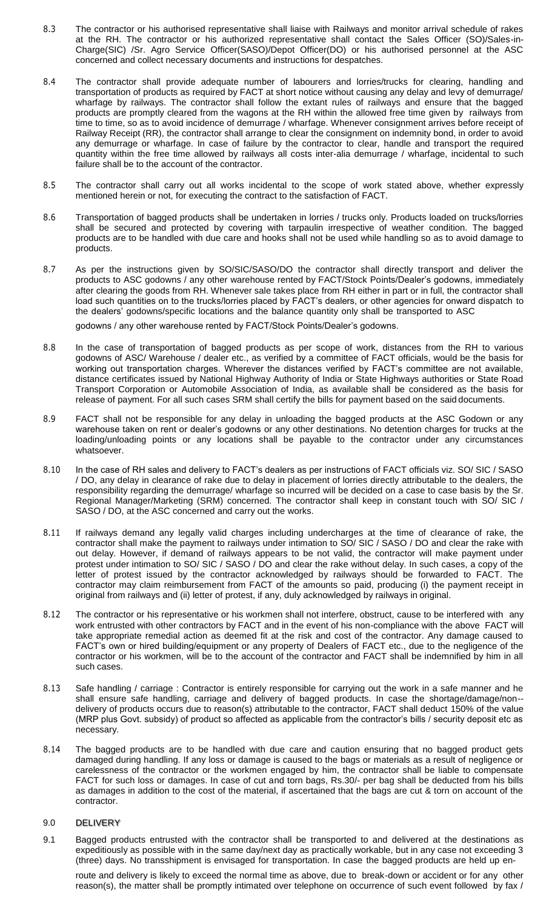- 8.3 The contractor or his authorised representative shall liaise with Railways and monitor arrival schedule of rakes at the RH. The contractor or his authorized representative shall contact the Sales Officer (SO)/Sales-in-Charge(SIC) /Sr. Agro Service Officer(SASO)/Depot Officer(DO) or his authorised personnel at the ASC concerned and collect necessary documents and instructions for despatches.
- 8.4 The contractor shall provide adequate number of labourers and lorries/trucks for clearing, handling and transportation of products as required by FACT at short notice without causing any delay and levy of demurrage/ wharfage by railways. The contractor shall follow the extant rules of railways and ensure that the bagged products are promptly cleared from the wagons at the RH within the allowed free time given by railways from time to time, so as to avoid incidence of demurrage / wharfage. Whenever consignment arrives before receipt of Railway Receipt (RR), the contractor shall arrange to clear the consignment on indemnity bond, in order to avoid any demurrage or wharfage. In case of failure by the contractor to clear, handle and transport the required quantity within the free time allowed by railways all costs inter-alia demurrage / wharfage, incidental to such failure shall be to the account of the contractor.
- 8.5 The contractor shall carry out all works incidental to the scope of work stated above, whether expressly mentioned herein or not, for executing the contract to the satisfaction of FACT.
- 8.6 Transportation of bagged products shall be undertaken in lorries / trucks only. Products loaded on trucks/lorries shall be secured and protected by covering with tarpaulin irrespective of weather condition. The bagged products are to be handled with due care and hooks shall not be used while handling so as to avoid damage to products.
- 8.7 As per the instructions given by SO/SIC/SASO/DO the contractor shall directly transport and deliver the products to ASC godowns / any other warehouse rented by FACT/Stock Points/Dealer's godowns, immediately after clearing the goods from RH. Whenever sale takes place from RH either in part or in full, the contractor shall load such quantities on to the trucks/lorries placed by FACT's dealers, or other agencies for onward dispatch to the dealers' godowns/specific locations and the balance quantity only shall be transported to ASC

godowns / any other warehouse rented by FACT/Stock Points/Dealer's godowns.

- 8.8 In the case of transportation of bagged products as per scope of work, distances from the RH to various godowns of ASC/ Warehouse / dealer etc., as verified by a committee of FACT officials, would be the basis for working out transportation charges. Wherever the distances verified by FACT's committee are not available, distance certificates issued by National Highway Authority of India or State Highways authorities or State Road Transport Corporation or Automobile Association of India, as available shall be considered as the basis for release of payment. For all such cases SRM shall certify the bills for payment based on the said documents.
- 8.9 FACT shall not be responsible for any delay in unloading the bagged products at the ASC Godown or any warehouse taken on rent or dealer's godowns or any other destinations. No detention charges for trucks at the loading/unloading points or any locations shall be payable to the contractor under any circumstances whatsoever.
- 8.10 In the case of RH sales and delivery to FACT's dealers as per instructions of FACT officials viz. SO/ SIC / SASO / DO, any delay in clearance of rake due to delay in placement of lorries directly attributable to the dealers, the responsibility regarding the demurrage/ wharfage so incurred will be decided on a case to case basis by the Sr. Regional Manager/Marketing (SRM) concerned. The contractor shall keep in constant touch with SO/ SIC / SASO / DO, at the ASC concerned and carry out the works.
- 8.11 If railways demand any legally valid charges including undercharges at the time of clearance of rake, the contractor shall make the payment to railways under intimation to SO/ SIC / SASO / DO and clear the rake with out delay. However, if demand of railways appears to be not valid, the contractor will make payment under protest under intimation to SO/ SIC / SASO / DO and clear the rake without delay. In such cases, a copy of the letter of protest issued by the contractor acknowledged by railways should be forwarded to FACT. The contractor may claim reimbursement from FACT of the amounts so paid, producing (i) the payment receipt in original from railways and (ii) letter of protest, if any, duly acknowledged by railways in original.
- 8.12 The contractor or his representative or his workmen shall not interfere, obstruct, cause to be interfered with any work entrusted with other contractors by FACT and in the event of his non-compliance with the above FACT will take appropriate remedial action as deemed fit at the risk and cost of the contractor. Any damage caused to FACT's own or hired building/equipment or any property of Dealers of FACT etc., due to the negligence of the contractor or his workmen, will be to the account of the contractor and FACT shall be indemnified by him in all such cases.
- 8.13 Safe handling / carriage : Contractor is entirely responsible for carrying out the work in a safe manner and he shall ensure safe handling, carriage and delivery of bagged products. In case the shortage/damage/non- delivery of products occurs due to reason(s) attributable to the contractor, FACT shall deduct 150% of the value (MRP plus Govt. subsidy) of product so affected as applicable from the contractor's bills / security deposit etc as necessary.
- 8.14 The bagged products are to be handled with due care and caution ensuring that no bagged product gets damaged during handling. If any loss or damage is caused to the bags or materials as a result of negligence or carelessness of the contractor or the workmen engaged by him, the contractor shall be liable to compensate FACT for such loss or damages. In case of cut and torn bags, Rs.30/- per bag shall be deducted from his bills as damages in addition to the cost of the material, if ascertained that the bags are cut & torn on account of the contractor.

### 9.0 DELIVERY

9.1 Bagged products entrusted with the contractor shall be transported to and delivered at the destinations as expeditiously as possible with in the same day/next day as practically workable, but in any case not exceeding 3 (three) days. No transshipment is envisaged for transportation. In case the bagged products are held up en-

route and delivery is likely to exceed the normal time as above, due to break-down or accident or for any other reason(s), the matter shall be promptly intimated over telephone on occurrence of such event followed by fax /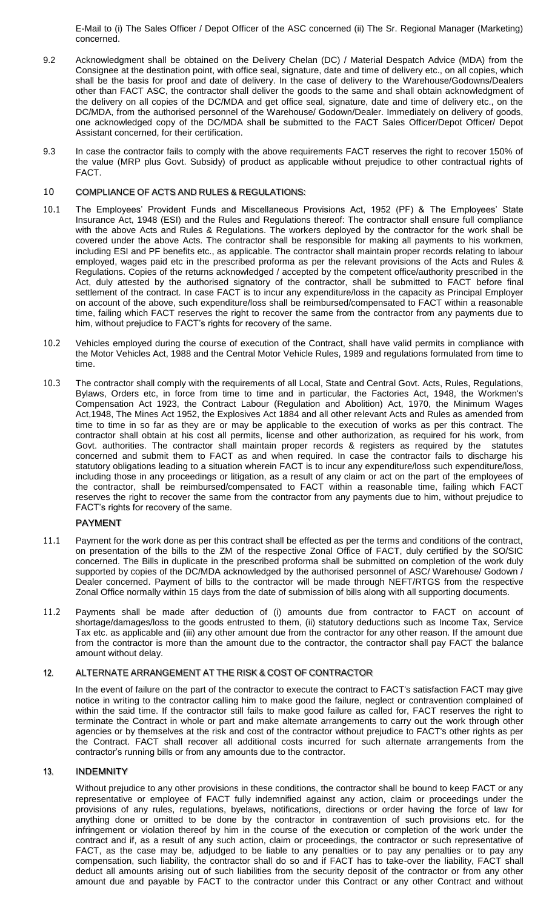E-Mail to (i) The Sales Officer / Depot Officer of the ASC concerned (ii) The Sr. Regional Manager (Marketing) concerned.

- 9.2 Acknowledgment shall be obtained on the Delivery Chelan (DC) / Material Despatch Advice (MDA) from the Consignee at the destination point, with office seal, signature, date and time of delivery etc., on all copies, which shall be the basis for proof and date of delivery. In the case of delivery to the Warehouse/Godowns/Dealers other than FACT ASC, the contractor shall deliver the goods to the same and shall obtain acknowledgment of the delivery on all copies of the DC/MDA and get office seal, signature, date and time of delivery etc., on the DC/MDA, from the authorised personnel of the Warehouse/ Godown/Dealer. Immediately on delivery of goods, one acknowledged copy of the DC/MDA shall be submitted to the FACT Sales Officer/Depot Officer/ Depot Assistant concerned, for their certification.
- 9.3 In case the contractor fails to comply with the above requirements FACT reserves the right to recover 150% of the value (MRP plus Govt. Subsidy) of product as applicable without prejudice to other contractual rights of FACT.

# 10 COMPLIANCE OF ACTS AND RULES & REGULATIONS:

- 10.1 The Employees' Provident Funds and Miscellaneous Provisions Act, 1952 (PF) & The Employees' State Insurance Act, 1948 (ESI) and the Rules and Regulations thereof: The contractor shall ensure full compliance with the above Acts and Rules & Regulations. The workers deployed by the contractor for the work shall be covered under the above Acts. The contractor shall be responsible for making all payments to his workmen, including ESI and PF benefits etc., as applicable. The contractor shall maintain proper records relating to labour employed, wages paid etc in the prescribed proforma as per the relevant provisions of the Acts and Rules & Regulations. Copies of the returns acknowledged / accepted by the competent office/authority prescribed in the Act, duly attested by the authorised signatory of the contractor, shall be submitted to FACT before final settlement of the contract. In case FACT is to incur any expenditure/loss in the capacity as Principal Employer on account of the above, such expenditure/loss shall be reimbursed/compensated to FACT within a reasonable time, failing which FACT reserves the right to recover the same from the contractor from any payments due to him, without prejudice to FACT's rights for recovery of the same.
- 10.2 Vehicles employed during the course of execution of the Contract, shall have valid permits in compliance with the Motor Vehicles Act, 1988 and the Central Motor Vehicle Rules, 1989 and regulations formulated from time to time.
- 10.3 The contractor shall comply with the requirements of all Local, State and Central Govt. Acts, Rules, Regulations, Bylaws, Orders etc, in force from time to time and in particular, the Factories Act, 1948, the Workmen's Compensation Act 1923, the Contract Labour (Regulation and Abolition) Act, 1970, the Minimum Wages Act,1948, The Mines Act 1952, the Explosives Act 1884 and all other relevant Acts and Rules as amended from time to time in so far as they are or may be applicable to the execution of works as per this contract. The contractor shall obtain at his cost all permits, license and other authorization, as required for his work, from Govt. authorities. The contractor shall maintain proper records & registers as required by the statutes concerned and submit them to FACT as and when required. In case the contractor fails to discharge his statutory obligations leading to a situation wherein FACT is to incur any expenditure/loss such expenditure/loss, including those in any proceedings or litigation, as a result of any claim or act on the part of the employees of the contractor, shall be reimbursed/compensated to FACT within a reasonable time, failing which FACT reserves the right to recover the same from the contractor from any payments due to him, without prejudice to FACT's rights for recovery of the same.

# **PAYMENT**

- 11.1 Payment for the work done as per this contract shall be effected as per the terms and conditions of the contract, on presentation of the bills to the ZM of the respective Zonal Office of FACT, duly certified by the SO/SIC concerned. The Bills in duplicate in the prescribed proforma shall be submitted on completion of the work duly supported by copies of the DC/MDA acknowledged by the authorised personnel of ASC/ Warehouse/ Godown / Dealer concerned. Payment of bills to the contractor will be made through NEFT/RTGS from the respective Zonal Office normally within 15 days from the date of submission of bills along with all supporting documents.
- 11.2 Payments shall be made after deduction of (i) amounts due from contractor to FACT on account of shortage/damages/loss to the goods entrusted to them, (ii) statutory deductions such as Income Tax, Service Tax etc. as applicable and (iii) any other amount due from the contractor for any other reason. If the amount due from the contractor is more than the amount due to the contractor, the contractor shall pay FACT the balance amount without delay.

#### $12.$ ALTERNATE ARRANGEMENT AT THE RISK & COST OF CONTRACTOR

In the event of failure on the part of the contractor to execute the contract to FACT's satisfaction FACT may give notice in writing to the contractor calling him to make good the failure, neglect or contravention complained of within the said time. If the contractor still fails to make good failure as called for, FACT reserves the right to terminate the Contract in whole or part and make alternate arrangements to carry out the work through other agencies or by themselves at the risk and cost of the contractor without prejudice to FACT's other rights as per the Contract. FACT shall recover all additional costs incurred for such alternate arrangements from the contractor's running bills or from any amounts due to the contractor.

#### $13.$ **INDEMNITY**

Without prejudice to any other provisions in these conditions, the contractor shall be bound to keep FACT or any representative or employee of FACT fully indemnified against any action, claim or proceedings under the provisions of any rules, regulations, byelaws, notifications, directions or order having the force of law for anything done or omitted to be done by the contractor in contravention of such provisions etc. for the infringement or violation thereof by him in the course of the execution or completion of the work under the contract and if, as a result of any such action, claim or proceedings, the contractor or such representative of FACT, as the case may be, adjudged to be liable to any penalties or to pay any penalties or to pay any compensation, such liability, the contractor shall do so and if FACT has to take-over the liability, FACT shall deduct all amounts arising out of such liabilities from the security deposit of the contractor or from any other amount due and payable by FACT to the contractor under this Contract or any other Contract and without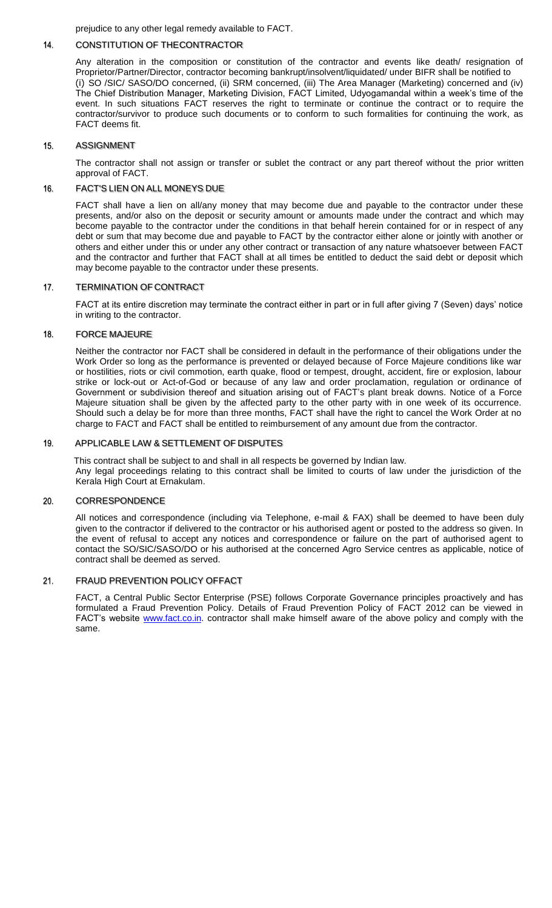prejudice to any other legal remedy available to FACT.

#### $14.$ CONSTITUTION OF THECONTRACTOR

Any alteration in the composition or constitution of the contractor and events like death/ resignation of Proprietor/Partner/Director, contractor becoming bankrupt/insolvent/liquidated/ under BIFR shall be notified to (i) SO /SIC/ SASO/DO concerned, (ii) SRM concerned, (iii) The Area Manager (Marketing) concerned and (iv) The Chief Distribution Manager, Marketing Division, FACT Limited, Udyogamandal within a week's time of the event. In such situations FACT reserves the right to terminate or continue the contract or to require the contractor/survivor to produce such documents or to conform to such formalities for continuing the work, as FACT deems fit.

#### 15. ASSIGNMENT

The contractor shall not assign or transfer or sublet the contract or any part thereof without the prior written approval of FACT.

#### 16. FACT'S LIEN ON ALL MONEYS DUE

FACT shall have a lien on all/any money that may become due and payable to the contractor under these presents, and/or also on the deposit or security amount or amounts made under the contract and which may become payable to the contractor under the conditions in that behalf herein contained for or in respect of any debt or sum that may become due and payable to FACT by the contractor either alone or jointly with another or others and either under this or under any other contract or transaction of any nature whatsoever between FACT and the contractor and further that FACT shall at all times be entitled to deduct the said debt or deposit which may become payable to the contractor under these presents.

#### 17. TERMINATION OF CONTRACT

FACT at its entire discretion may terminate the contract either in part or in full after giving 7 (Seven) days' notice in writing to the contractor.

#### 18. FORCE MAJEURE

Neither the contractor nor FACT shall be considered in default in the performance of their obligations under the Work Order so long as the performance is prevented or delayed because of Force Majeure conditions like war or hostilities, riots or civil commotion, earth quake, flood or tempest, drought, accident, fire or explosion, labour strike or lock-out or Act-of-God or because of any law and order proclamation, regulation or ordinance of Government or subdivision thereof and situation arising out of FACT's plant break downs. Notice of a Force Majeure situation shall be given by the affected party to the other party with in one week of its occurrence. Should such a delay be for more than three months, FACT shall have the right to cancel the Work Order at no charge to FACT and FACT shall be entitled to reimbursement of any amount due from the contractor.

#### 19 APPLICABLE LAW & SETTLEMENT OF DISPUTES

This contract shall be subject to and shall in all respects be governed by Indian law. Any legal proceedings relating to this contract shall be limited to courts of law under the jurisdiction of the Kerala High Court at Ernakulam.

#### $20$ CORRESPONDENCE

All notices and correspondence (including via Telephone, e-mail & FAX) shall be deemed to have been duly given to the contractor if delivered to the contractor or his authorised agent or posted to the address so given. In the event of refusal to accept any notices and correspondence or failure on the part of authorised agent to contact the SO/SIC/SASO/DO or his authorised at the concerned Agro Service centres as applicable, notice of contract shall be deemed as served.

#### 21. FRAUD PREVENTION POLICY OFFACT

FACT, a Central Public Sector Enterprise (PSE) follows Corporate Governance principles proactively and has formulated a Fraud Prevention Policy. Details of Fraud Prevention Policy of FACT 2012 can be viewed in FACT's website [www.fact.co.in. c](http://www.fact.co.in/)ontractor shall make himself aware of the above policy and comply with the same.